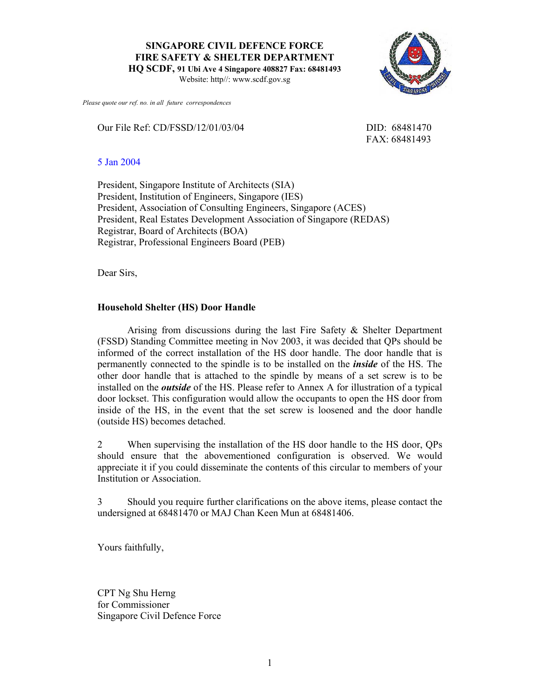**SINGAPORE CIVIL DEFENCE FORCE FIRE SAFETY & SHELTER DEPARTMENT** 

**HQ SCDF, 91 Ubi Ave 4 Singapore 408827 Fax: 68481493** 

Website: http//: www.scdf.gov.sg



Our File Ref: CD/FSSD/12/01/03/04 DID: 68481470

FAX: 68481493

5 Jan 2004

President, Singapore Institute of Architects (SIA) President, Institution of Engineers, Singapore (IES) President, Association of Consulting Engineers, Singapore (ACES) President, Real Estates Development Association of Singapore (REDAS) Registrar, Board of Architects (BOA) Registrar, Professional Engineers Board (PEB)

Dear Sirs,

## **Household Shelter (HS) Door Handle**

 Arising from discussions during the last Fire Safety & Shelter Department (FSSD) Standing Committee meeting in Nov 2003, it was decided that QPs should be informed of the correct installation of the HS door handle. The door handle that is permanently connected to the spindle is to be installed on the *inside* of the HS. The other door handle that is attached to the spindle by means of a set screw is to be installed on the *outside* of the HS. Please refer to Annex A for illustration of a typical door lockset. This configuration would allow the occupants to open the HS door from inside of the HS, in the event that the set screw is loosened and the door handle (outside HS) becomes detached.

2 When supervising the installation of the HS door handle to the HS door, QPs should ensure that the abovementioned configuration is observed. We would appreciate it if you could disseminate the contents of this circular to members of your Institution or Association.

3 Should you require further clarifications on the above items, please contact the undersigned at 68481470 or MAJ Chan Keen Mun at 68481406.

Yours faithfully,

CPT Ng Shu Herng for Commissioner Singapore Civil Defence Force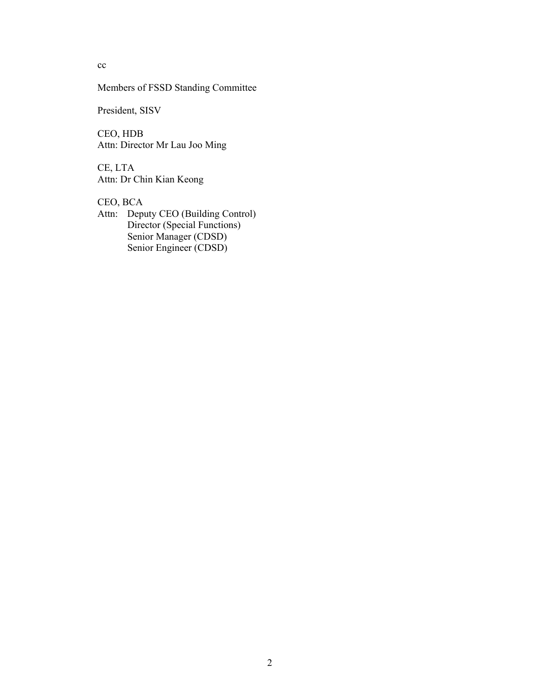cc

Members of FSSD Standing Committee

President, SISV

CEO, HDB Attn: Director Mr Lau Joo Ming

CE, LTA Attn: Dr Chin Kian Keong

CEO, BCA

Attn: Deputy CEO (Building Control) Director (Special Functions) Senior Manager (CDSD) Senior Engineer (CDSD)